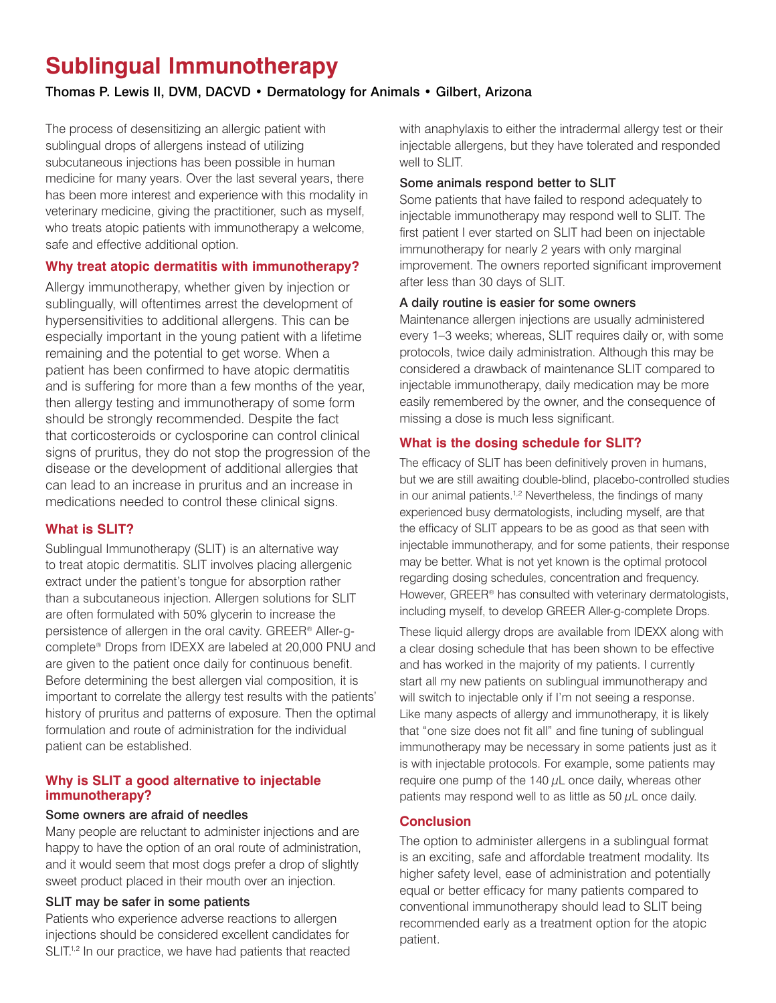# **Sublingual Immunotherapy**

## Thomas P. Lewis II, DVM, DACVD • Dermatology for Animals • Gilbert, Arizona

The process of desensitizing an allergic patient with sublingual drops of allergens instead of utilizing subcutaneous injections has been possible in human medicine for many years. Over the last several years, there has been more interest and experience with this modality in veterinary medicine, giving the practitioner, such as myself, who treats atopic patients with immunotherapy a welcome, safe and effective additional option.

#### **Why treat atopic dermatitis with immunotherapy?**

Allergy immunotherapy, whether given by injection or sublingually, will oftentimes arrest the development of hypersensitivities to additional allergens. This can be especially important in the young patient with a lifetime remaining and the potential to get worse. When a patient has been confirmed to have atopic dermatitis and is suffering for more than a few months of the year, then allergy testing and immunotherapy of some form should be strongly recommended. Despite the fact that corticosteroids or cyclosporine can control clinical signs of pruritus, they do not stop the progression of the disease or the development of additional allergies that can lead to an increase in pruritus and an increase in medications needed to control these clinical signs.

### **What is SLIT?**

Sublingual Immunotherapy (SLIT) is an alternative way to treat atopic dermatitis. SLIT involves placing allergenic extract under the patient's tongue for absorption rather than a subcutaneous injection. Allergen solutions for SLIT are often formulated with 50% glycerin to increase the persistence of allergen in the oral cavity. GREER® Aller-gcomplete® Drops from IDEXX are labeled at 20,000 PNU and are given to the patient once daily for continuous benefit. Before determining the best allergen vial composition, it is important to correlate the allergy test results with the patients' history of pruritus and patterns of exposure. Then the optimal formulation and route of administration for the individual patient can be established.

#### **Why is SLIT a good alternative to injectable immunotherapy?**

#### Some owners are afraid of needles

Many people are reluctant to administer injections and are happy to have the option of an oral route of administration, and it would seem that most dogs prefer a drop of slightly sweet product placed in their mouth over an injection.

#### SLIT may be safer in some patients

Patients who experience adverse reactions to allergen injections should be considered excellent candidates for SLIT.<sup>1,2</sup> In our practice, we have had patients that reacted with anaphylaxis to either the intradermal allergy test or their injectable allergens, but they have tolerated and responded well to SLIT.

#### Some animals respond better to SLIT

Some patients that have failed to respond adequately to injectable immunotherapy may respond well to SLIT. The first patient I ever started on SLIT had been on injectable immunotherapy for nearly 2 years with only marginal improvement. The owners reported significant improvement after less than 30 days of SLIT.

#### A daily routine is easier for some owners

Maintenance allergen injections are usually administered every 1–3 weeks; whereas, SLIT requires daily or, with some protocols, twice daily administration. Although this may be considered a drawback of maintenance SLIT compared to injectable immunotherapy, daily medication may be more easily remembered by the owner, and the consequence of missing a dose is much less significant.

#### **What is the dosing schedule for SLIT?**

The efficacy of SLIT has been definitively proven in humans, but we are still awaiting double-blind, placebo-controlled studies in our animal patients.<sup> $1,2$ </sup> Nevertheless, the findings of many experienced busy dermatologists, including myself, are that the efficacy of SLIT appears to be as good as that seen with injectable immunotherapy, and for some patients, their response may be better. What is not yet known is the optimal protocol regarding dosing schedules, concentration and frequency. However, GREER® has consulted with veterinary dermatologists, including myself, to develop GREER Aller-g-complete Drops.

These liquid allergy drops are available from IDEXX along with a clear dosing schedule that has been shown to be effective and has worked in the majority of my patients. I currently start all my new patients on sublingual immunotherapy and will switch to injectable only if I'm not seeing a response. Like many aspects of allergy and immunotherapy, it is likely that "one size does not fit all" and fine tuning of sublingual immunotherapy may be necessary in some patients just as it is with injectable protocols. For example, some patients may require one pump of the 140  $\mu$ L once daily, whereas other patients may respond well to as little as 50  $\mu$ L once daily.

#### **Conclusion**

The option to administer allergens in a sublingual format is an exciting, safe and affordable treatment modality. Its higher safety level, ease of administration and potentially equal or better efficacy for many patients compared to conventional immunotherapy should lead to SLIT being recommended early as a treatment option for the atopic patient.